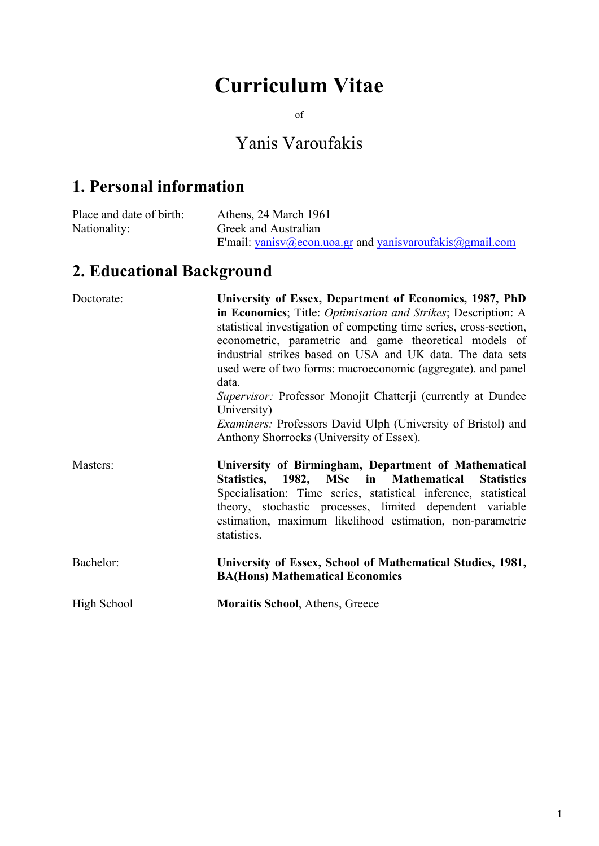# **Curriculum Vitae**

of

## Yanis Varoufakis

## **1. Personal information**

| Place and date of birth: | Athens, 24 March 1961                                    |
|--------------------------|----------------------------------------------------------|
| Nationality:             | Greek and Australian                                     |
|                          | E'mail: yanisv@econ.uoa.gr and yanisvaroufakis@gmail.com |

## **2. Educational Background**

| Doctorate:  | University of Essex, Department of Economics, 1987, PhD<br>in Economics; Title: <i>Optimisation and Strikes</i> ; Description: A<br>statistical investigation of competing time series, cross-section,<br>econometric, parametric and game theoretical models of<br>industrial strikes based on USA and UK data. The data sets<br>used were of two forms: macroeconomic (aggregate). and panel<br>data.<br>Supervisor: Professor Monojit Chatterji (currently at Dundee<br>University)<br><i>Examiners:</i> Professors David Ulph (University of Bristol) and<br>Anthony Shorrocks (University of Essex). |
|-------------|-----------------------------------------------------------------------------------------------------------------------------------------------------------------------------------------------------------------------------------------------------------------------------------------------------------------------------------------------------------------------------------------------------------------------------------------------------------------------------------------------------------------------------------------------------------------------------------------------------------|
| Masters:    | University of Birmingham, Department of Mathematical<br>Statistics, 1982, MSc in Mathematical<br><b>Statistics</b><br>Specialisation: Time series, statistical inference, statistical<br>theory, stochastic processes, limited dependent variable<br>estimation, maximum likelihood estimation, non-parametric<br>statistics.                                                                                                                                                                                                                                                                             |
| Bachelor:   | University of Essex, School of Mathematical Studies, 1981,<br><b>BA(Hons) Mathematical Economics</b>                                                                                                                                                                                                                                                                                                                                                                                                                                                                                                      |
| High School | <b>Moraitis School, Athens, Greece</b>                                                                                                                                                                                                                                                                                                                                                                                                                                                                                                                                                                    |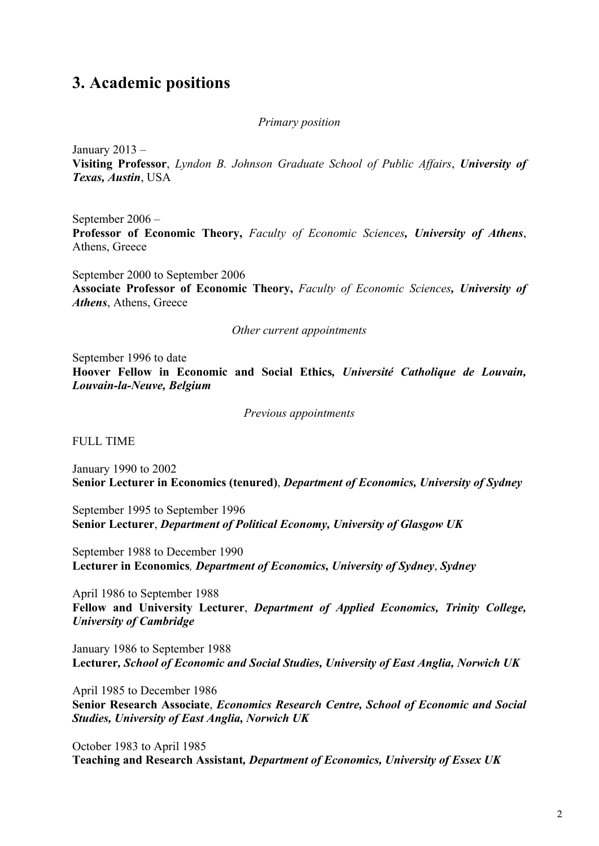### **3. Academic positions**

#### *Primary position*

January 2013 –

**Visiting Professor**, *Lyndon B. Johnson Graduate School of Public Affairs*, *University of Texas, Austin*, USA

September 2006 – **Professor of Economic Theory,** *Faculty of Economic Sciences, University of Athens*, Athens, Greece

September 2000 to September 2006 **Associate Professor of Economic Theory,** *Faculty of Economic Sciences, University of Athens*, Athens, Greece

*Other current appointments*

September 1996 to date **Hoover Fellow in Economic and Social Ethics***, Université Catholique de Louvain, Louvain-la-Neuve, Belgium*

*Previous appointments*

FULL TIME

January 1990 to 2002 **Senior Lecturer in Economics (tenured)**, *Department of Economics, University of Sydney*

September 1995 to September 1996 **Senior Lecturer**, *Department of Political Economy, University of Glasgow UK*

September 1988 to December 1990 **Lecturer in Economics***, Department of Economics, University of Sydney*, *Sydney*

April 1986 to September 1988 **Fellow and University Lecturer**, *Department of Applied Economics, Trinity College, University of Cambridge*

January 1986 to September 1988 **Lecturer***, School of Economic and Social Studies, University of East Anglia, Norwich UK*

April 1985 to December 1986 **Senior Research Associate**, *Economics Research Centre, School of Economic and Social Studies, University of East Anglia, Norwich UK*

October 1983 to April 1985 **Teaching and Research Assistant***, Department of Economics, University of Essex UK*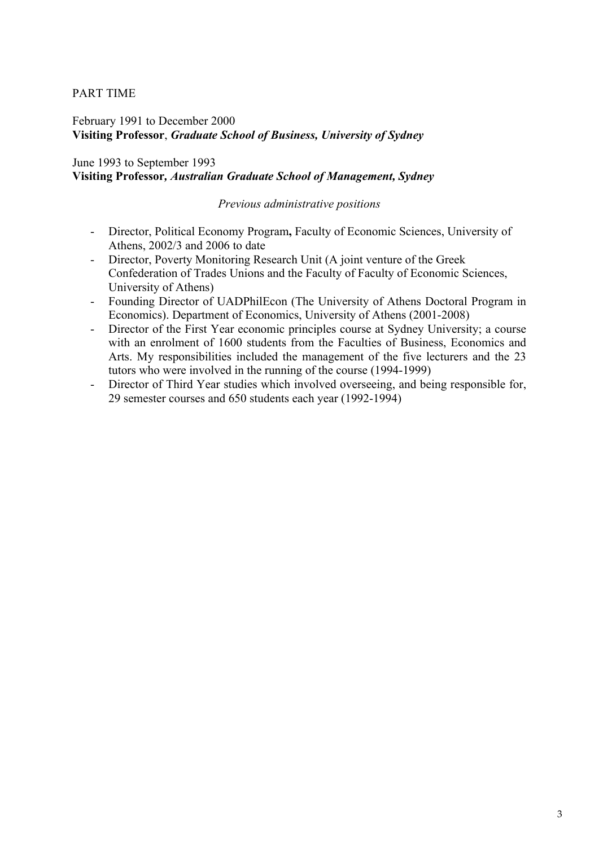#### PART TIME

#### February 1991 to December 2000 **Visiting Professor**, *Graduate School of Business, University of Sydney*

#### June 1993 to September 1993 **Visiting Professor***, Australian Graduate School of Management, Sydney*

#### *Previous administrative positions*

- Director, Political Economy Program**,** Faculty of Economic Sciences, University of Athens, 2002/3 and 2006 to date
- Director, Poverty Monitoring Research Unit (A joint venture of the Greek Confederation of Trades Unions and the Faculty of Faculty of Economic Sciences, University of Athens)
- Founding Director of UADPhilEcon (The University of Athens Doctoral Program in Economics). Department of Economics, University of Athens (2001-2008)
- Director of the First Year economic principles course at Sydney University; a course with an enrolment of 1600 students from the Faculties of Business, Economics and Arts. My responsibilities included the management of the five lecturers and the 23 tutors who were involved in the running of the course (1994-1999)
- Director of Third Year studies which involved overseeing, and being responsible for, 29 semester courses and 650 students each year (1992-1994)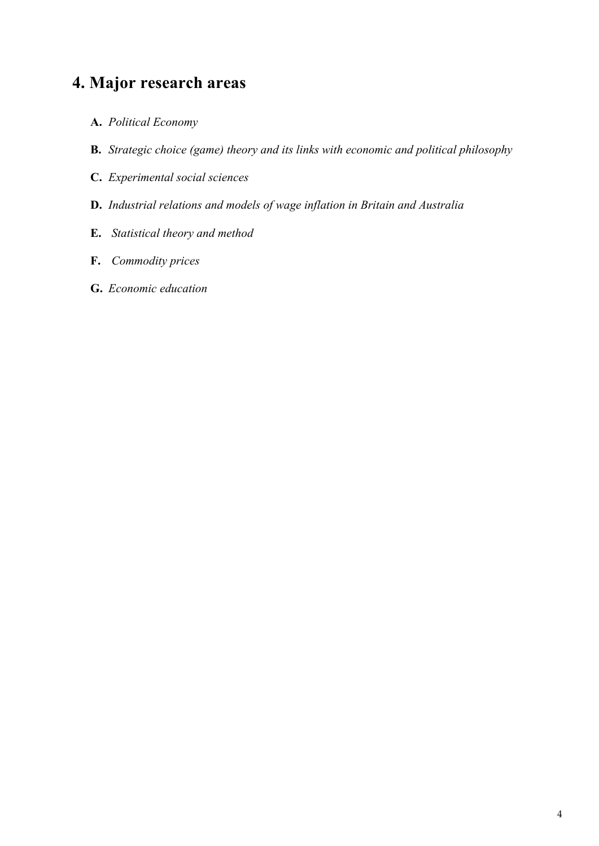## **4. Major research areas**

- **A.** *Political Economy*
- **B.** *Strategic choice (game) theory and its links with economic and political philosophy*
- **C.** *Experimental social sciences*
- **D.** *Industrial relations and models of wage inflation in Britain and Australia*
- **E.** *Statistical theory and method*
- **F.** *Commodity prices*
- **G.** *Economic education*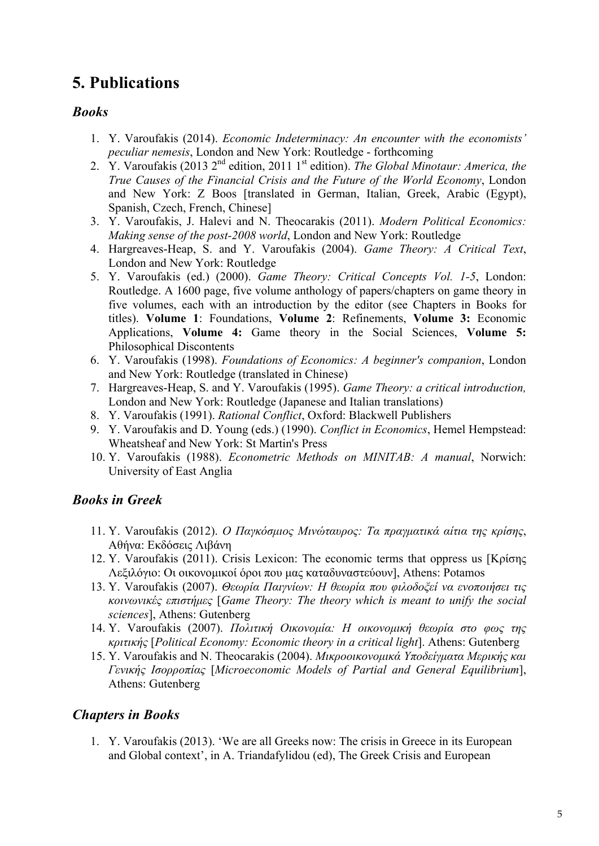### **5. Publications**

### *Books*

- 1. Y. Varoufakis (2014). *Economic Indeterminacy: An encounter with the economists' peculiar nemesis*, London and New York: Routledge - forthcoming
- 2. Y. Varoufakis (2013 2<sup>nd</sup> edition, 2011 1<sup>st</sup> edition). *The Global Minotaur: America, the True Causes of the Financial Crisis and the Future of the World Economy*, London and New York: Z Boos [translated in German, Italian, Greek, Arabic (Egypt), Spanish, Czech, French, Chinese]
- 3. Y. Varoufakis, J. Halevi and N. Theocarakis (2011). *Modern Political Economics: Making sense of the post-2008 world*, London and New York: Routledge
- 4. Hargreaves-Heap, S. and Y. Varoufakis (2004). *Game Theory: A Critical Text*, London and New York: Routledge
- 5. Y. Varoufakis (ed.) (2000). *Game Theory: Critical Concepts Vol. 1-5*, London: Routledge. A 1600 page, five volume anthology of papers/chapters on game theory in five volumes, each with an introduction by the editor (see Chapters in Books for titles). **Volume 1**: Foundations, **Volume 2**: Refinements, **Volume 3:** Economic Applications, **Volume 4:** Game theory in the Social Sciences, **Volume 5:** Philosophical Discontents
- 6. Y. Varoufakis (1998). *Foundations of Economics: A beginner's companion*, London and New York: Routledge (translated in Chinese)
- 7. Hargreaves-Heap, S. and Y. Varoufakis (1995). *Game Theory: a critical introduction,*  London and New York: Routledge (Japanese and Italian translations)
- 8. Y. Varoufakis (1991). *Rational Conflict*, Oxford: Blackwell Publishers
- 9. Y. Varoufakis and D. Young (eds.) (1990). *Conflict in Economics*, Hemel Hempstead: Wheatsheaf and New York: St Martin's Press
- 10. Y. Varoufakis (1988). *Econometric Methods on MINITAB: A manual*, Norwich: University of East Anglia

### *Books in Greek*

- 11. Y. Varoufakis (2012). *Ο Παγκόσµιος Μινώταυρος: Τα πραγµατικά αίτια της κρίσης*, Αθήνα: Εκδόσεις Λιβάνη
- 12. Y. Varoufakis (2011). Crisis Lexicon: The economic terms that oppress us [Κρίσης Λεξιλόγιο: Οι οικονοµικοί όροι που µας καταδυναστεύουν], Athens: Potamos
- 13. Y. Varoufakis (2007). *Θεωρία Παιγνίων: Η θεωρία που φιλοδοξεί να ενοποιήσει τις κοινωνικές επιστήµες* [*Game Theory: The theory which is meant to unify the social sciences*], Athens: Gutenberg
- 14. Y. Varoufakis (2007). *Πολιτική Οικονοµία: Η οικονοµική θεωρία στο φως της κριτικής* [*Political Economy: Economic theory in a critical light*]. Athens: Gutenberg
- 15. Y. Varoufakis and N. Theocarakis (2004). *Μικροοικονοµικά Υποδείγµατα Μερικής και Γενικής Ισορροπίας* [*Microeconomic Models of Partial and General Equilibrium*], Αthens: Gutenberg

### *Chapters in Books*

1. Y. Varoufakis (2013). 'We are all Greeks now: The crisis in Greece in its European and Global context', in A. Triandafylidou (ed), The Greek Crisis and European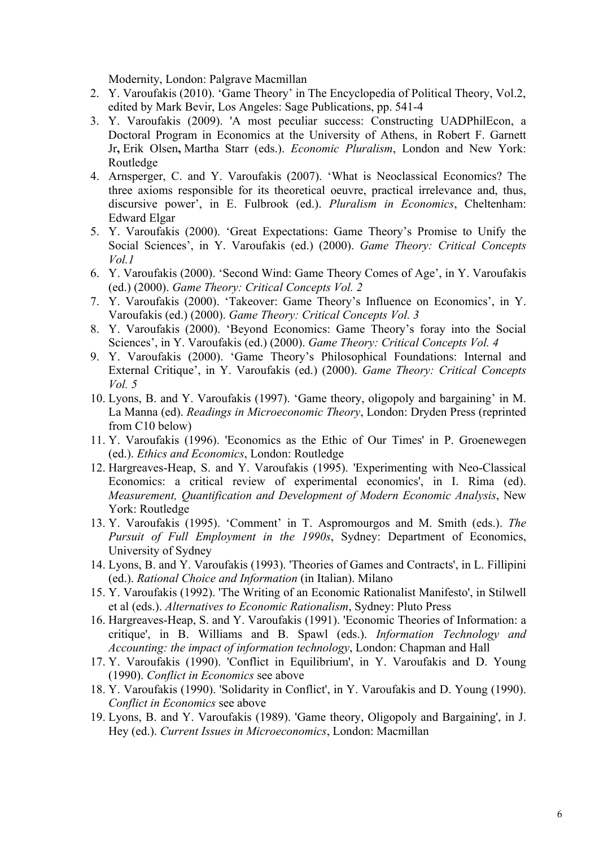Modernity, London: Palgrave Macmillan

- 2. Y. Varoufakis (2010). 'Game Theory' in The Encyclopedia of Political Theory, Vol.2, edited by Mark Bevir, Los Angeles: Sage Publications, pp. 541-4
- 3. Y. Varoufakis (2009). 'A most peculiar success: Constructing UADPhilEcon, a Doctoral Program in Economics at the University of Athens, in Robert F. Garnett Jr**,** Erik Olsen**,** Martha Starr (eds.). *Economic Pluralism*, London and New York: Routledge
- 4. Arnsperger, C. and Y. Varoufakis (2007). 'What is Neoclassical Economics? The three axioms responsible for its theoretical oeuvre, practical irrelevance and, thus, discursive power', in E. Fulbrook (ed.). *Pluralism in Economics*, Cheltenham: Edward Elgar
- 5. Y. Varoufakis (2000). 'Great Expectations: Game Theory's Promise to Unify the Social Sciences', in Y. Varoufakis (ed.) (2000). *Game Theory: Critical Concepts Vol.1*
- 6. Y. Varoufakis (2000). 'Second Wind: Game Theory Comes of Age', in Y. Varoufakis (ed.) (2000). *Game Theory: Critical Concepts Vol. 2*
- 7. Y. Varoufakis (2000). 'Takeover: Game Theory's Influence on Economics', in Y. Varoufakis (ed.) (2000). *Game Theory: Critical Concepts Vol. 3*
- 8. Y. Varoufakis (2000). 'Beyond Economics: Game Theory's foray into the Social Sciences', in Y. Varoufakis (ed.) (2000). *Game Theory: Critical Concepts Vol. 4*
- 9. Y. Varoufakis (2000). 'Game Theory's Philosophical Foundations: Internal and External Critique', in Y. Varoufakis (ed.) (2000). *Game Theory: Critical Concepts Vol. 5*
- 10. Lyons, B. and Y. Varoufakis (1997). 'Game theory, oligopoly and bargaining' in M. La Manna (ed). *Readings in Microeconomic Theory*, London: Dryden Press (reprinted from C10 below)
- 11. Y. Varoufakis (1996). 'Economics as the Ethic of Our Times' in P. Groenewegen (ed.). *Ethics and Economics*, London: Routledge
- 12. Hargreaves-Heap, S. and Y. Varoufakis (1995). 'Experimenting with Neo-Classical Economics: a critical review of experimental economics', in I. Rima (ed). *Measurement, Quantification and Development of Modern Economic Analysis*, New York: Routledge
- 13. Y. Varoufakis (1995). 'Comment' in T. Aspromourgos and M. Smith (eds.). *The Pursuit of Full Employment in the 1990s*, Sydney: Department of Economics, University of Sydney
- 14. Lyons, B. and Y. Varoufakis (1993). 'Theories of Games and Contracts', in L. Fillipini (ed.). *Rational Choice and Information* (in Italian). Milano
- 15. Y. Varoufakis (1992). 'The Writing of an Economic Rationalist Manifesto', in Stilwell et al (eds.). *Alternatives to Economic Rationalism*, Sydney: Pluto Press
- 16. Hargreaves-Heap, S. and Y. Varoufakis (1991). 'Economic Theories of Information: a critique', in B. Williams and B. Spawl (eds.). *Information Technology and Accounting: the impact of information technology*, London: Chapman and Hall
- 17. Y. Varoufakis (1990). 'Conflict in Equilibrium', in Y. Varoufakis and D. Young (1990). *Conflict in Economics* see above
- 18. Y. Varoufakis (1990). 'Solidarity in Conflict', in Y. Varoufakis and D. Young (1990). *Conflict in Economics* see above
- 19. Lyons, B. and Y. Varoufakis (1989). 'Game theory, Oligopoly and Bargaining', in J. Hey (ed.). *Current Issues in Microeconomics*, London: Macmillan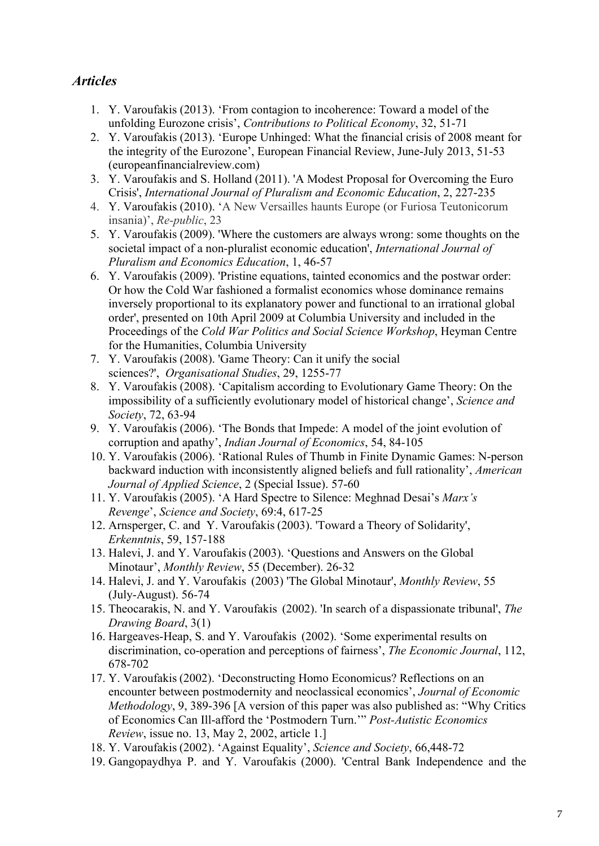### *Articles*

- 1. Y. Varoufakis (2013). 'From contagion to incoherence: Toward a model of the unfolding Eurozone crisis', *Contributions to Political Economy*, 32, 51-71
- 2. Y. Varoufakis (2013). 'Europe Unhinged: What the financial crisis of 2008 meant for the integrity of the Eurozone', European Financial Review, June-July 2013, 51-53 (europeanfinancialreview.com)
- 3. Y. Varoufakis and S. Holland (2011). 'A Modest Proposal for Overcoming the Euro Crisis', *International Journal of Pluralism and Economic Education*, 2, 227-235
- 4. Y. Varoufakis (2010). 'A New Versailles haunts Europe (or Furiosa Teutonicorum insania)', *Re-public*, 23
- 5. Y. Varoufakis (2009). 'Where the customers are always wrong: some thoughts on the societal impact of a non-pluralist economic education', *International Journal of Pluralism and Economics Education*, 1, 46-57
- 6. Y. Varoufakis (2009). 'Pristine equations, tainted economics and the postwar order: Or how the Cold War fashioned a formalist economics whose dominance remains inversely proportional to its explanatory power and functional to an irrational global order', presented on 10th April 2009 at Columbia University and included in the Proceedings of the *Cold War Politics and Social Science Workshop*, Heyman Centre for the Humanities, Columbia University
- 7. Y. Varoufakis (2008). 'Game Theory: Can it unify the social sciences?', *Organisational Studies*, 29, 1255-77
- 8. Y. Varoufakis (2008). 'Capitalism according to Evolutionary Game Theory: On the impossibility of a sufficiently evolutionary model of historical change', *Science and Society*, 72, 63-94
- 9. Y. Varoufakis (2006). 'The Bonds that Impede: A model of the joint evolution of corruption and apathy', *Indian Journal of Economics*, 54, 84-105
- 10. Y. Varoufakis (2006). 'Rational Rules of Thumb in Finite Dynamic Games: N-person backward induction with inconsistently aligned beliefs and full rationality', *American Journal of Applied Science*, 2 (Special Issue). 57-60
- 11. Y. Varoufakis (2005). 'A Hard Spectre to Silence: Meghnad Desai's *Marx's Revenge*', *Science and Society*, 69:4, 617-25
- 12. Arnsperger, C. and Y. Varoufakis (2003). 'Toward a Theory of Solidarity', *Erkenntnis*, 59, 157-188
- 13. Halevi, J. and Y. Varoufakis (2003). 'Questions and Answers on the Global Minotaur', *Monthly Review*, 55 (December). 26-32
- 14. Halevi, J. and Y. Varoufakis (2003) 'The Global Minotaur', *Monthly Review*, 55 (July-August). 56-74
- 15. Theocarakis, N. and Y. Varoufakis (2002). 'In search of a dispassionate tribunal', *The Drawing Board*, 3(1)
- 16. Hargeaves-Heap, S. and Y. Varoufakis (2002). 'Some experimental results on discrimination, co-operation and perceptions of fairness', *The Economic Journal*, 112, 678-702
- 17. Y. Varoufakis (2002). 'Deconstructing Homo Economicus? Reflections on an encounter between postmodernity and neoclassical economics', *Journal of Economic Methodology*, 9, 389-396 [A version of this paper was also published as: "Why Critics of Economics Can Ill-afford the 'Postmodern Turn.'" *Post-Autistic Economics Review*, issue no. 13, May 2, 2002, article 1.]
- 18. Y. Varoufakis (2002). 'Against Equality', *Science and Society*, 66,448-72
- 19. Gangopaydhya P. and Y. Varoufakis (2000). 'Central Bank Independence and the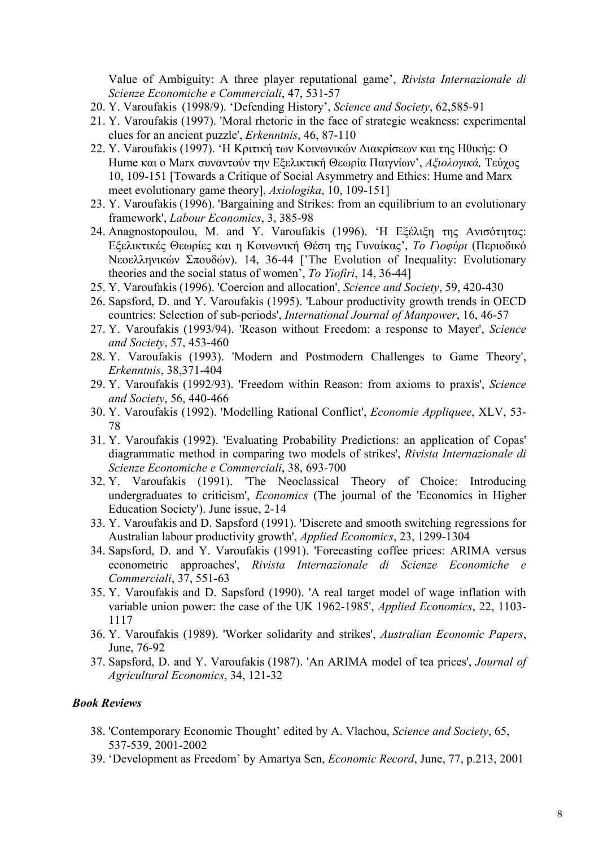Value of Ambiguity: A three player reputational game', *Rivista Internazionale di Scienze Economiche e Commerciali*, 47, 531-57

- 20. Y. Varoufakis (1998/9). 'Defending History', *Science and Society*, 62,585-91
- 21. Y. Varoufakis (1997). 'Moral rhetoric in the face of strategic weakness: experimental clues for an ancient puzzle', *Erkenntnis*, 46, 87-110
- 22. Y. Varoufakis (1997). 'Η Κριτική των Κοινωνικών Διακρίσεων και της Ηθικής: Ο Hume και ο Marx συναντούν την Εξελικτική Θεωρία Παιγνίων', *Αξιολογικά,* Τεύχος 10, 109-151 [Towards a Critique of Social Asymmetry and Ethics: Hume and Marx meet evolutionary game theory], *Axiologika*, 10, 109-151]
- 23. Y. Varoufakis (1996). 'Bargaining and Strikes: from an equilibrium to an evolutionary framework', *Labour Economics*, 3, 385-98
- 24. Anagnostopoulou, M. and Y. Varoufakis (1996). 'Η Εξέλιξη της Ανισότητας: Εξελικτικές Θεωρίες και η Κοινωνική Θέση της Γυναίκας', *Το Γιοφύρι* (Περιοδικό Νεοελληνικών Σπουδών). 14, 36-44 ['The Evolution of Inequality: Evolutionary theories and the social status of women', *To Yiofiri*, 14, 36-44]
- 25. Y. Varoufakis (1996). 'Coercion and allocation', *Science and Society*, 59, 420-430
- 26. Sapsford, D. and Y. Varoufakis (1995). 'Labour productivity growth trends in OECD countries: Selection of sub-periods', *International Journal of Manpower*, 16, 46-57
- 27. Y. Varoufakis (1993/94). 'Reason without Freedom: a response to Mayer', *Science and Society*, 57, 453-460
- 28. Y. Varoufakis (1993). 'Modern and Postmodern Challenges to Game Theory', *Erkenntnis*, 38,371-404
- 29. Y. Varoufakis (1992/93). 'Freedom within Reason: from axioms to praxis', *Science and Society*, 56, 440-466
- 30. Y. Varoufakis (1992). 'Modelling Rational Conflict', *Economie Appliquee*, XLV, 53- 78
- 31. Y. Varoufakis (1992). 'Evaluating Probability Predictions: an application of Copas' diagrammatic method in comparing two models of strikes', *Rivista Internazionale di Scienze Economiche e Commerciali*, 38, 693-700
- 32. Y. Varoufakis (1991). 'The Neoclassical Theory of Choice: Introducing undergraduates to criticism', *Economics* (The journal of the 'Economics in Higher Education Society'). June issue, 2-14
- 33. Y. Varoufakis and D. Sapsford (1991). 'Discrete and smooth switching regressions for Australian labour productivity growth', *Applied Economics*, 23, 1299-1304
- 34. Sapsford, D. and Y. Varoufakis (1991). 'Forecasting coffee prices: ARIMA versus econometric approaches', *Rivista Internazionale di Scienze Economiche e Commerciali*, 37, 551-63
- 35. Y. Varoufakis and D. Sapsford (1990). 'A real target model of wage inflation with variable union power: the case of the UK 1962-1985', *Applied Economics*, 22, 1103- 1117
- 36. Y. Varoufakis (1989). 'Worker solidarity and strikes', *Australian Economic Papers*, June, 76-92
- 37. Sapsford, D. and Y. Varoufakis (1987). 'An ARIMA model of tea prices', *Journal of Agricultural Economics*, 34, 121-32

#### *Book Reviews*

- 38. 'Contemporary Economic Thought' edited by A. Vlachou, *Science and Society*, 65, 537-539, 2001-2002
- 39. 'Development as Freedom' by Amartya Sen, *Economic Record*, June, 77, p.213, 2001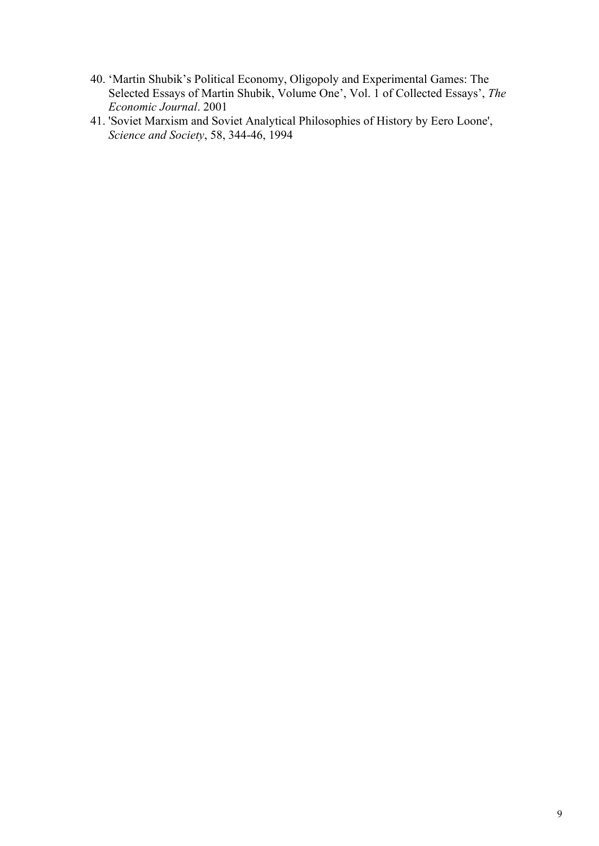- 40. 'Martin Shubik's Political Economy, Oligopoly and Experimental Games: The Selected Essays of Martin Shubik, Volume One', Vol. 1 of Collected Essays', *The Economic Journal*. 2001
- 41. 'Soviet Marxism and Soviet Analytical Philosophies of History by Eero Loone', *Science and Society*, 58, 344-46, 1994